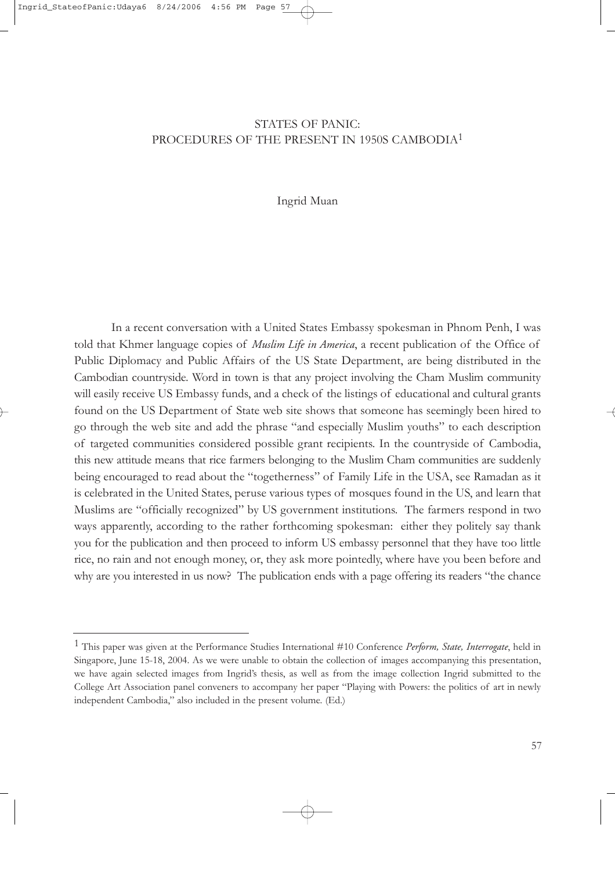# STATES OF PANIC: PROCEDURES OF THE PRESENT IN 1950S CAMBODIA1

#### Ingrid Muan

In a recent conversation with a United States Embassy spokesman in Phnom Penh, I was told that Khmer language copies of *Muslim Life in America*, a recent publication of the Office of Public Diplomacy and Public Affairs of the US State Department, are being distributed in the Cambodian countryside. Word in town is that any project involving the Cham Muslim community will easily receive US Embassy funds, and a check of the listings of educational and cultural grants found on the US Department of State web site shows that someone has seemingly been hired to go through the web site and add the phrase "and especially Muslim youths" to each description of targeted communities considered possible grant recipients. In the countryside of Cambodia, this new attitude means that rice farmers belonging to the Muslim Cham communities are suddenly being encouraged to read about the "togetherness" of Family Life in the USA, see Ramadan as it is celebrated in the United States, peruse various types of mosques found in the US, and learn that Muslims are "officially recognized" by US government institutions. The farmers respond in two ways apparently, according to the rather forthcoming spokesman: either they politely say thank you for the publication and then proceed to inform US embassy personnel that they have too little rice, no rain and not enough money, or, they ask more pointedly, where have you been before and why are you interested in us now? The publication ends with a page offering its readers "the chance

<sup>1</sup> This paper was given at the Performance Studies International #10 Conference *Perform, State, Interrogate*, held in Singapore, June 15-18, 2004. As we were unable to obtain the collection of images accompanying this presentation, we have again selected images from Ingrid's thesis, as well as from the image collection Ingrid submitted to the College Art Association panel conveners to accompany her paper "Playing with Powers: the politics of art in newly independent Cambodia," also included in the present volume. (Ed.)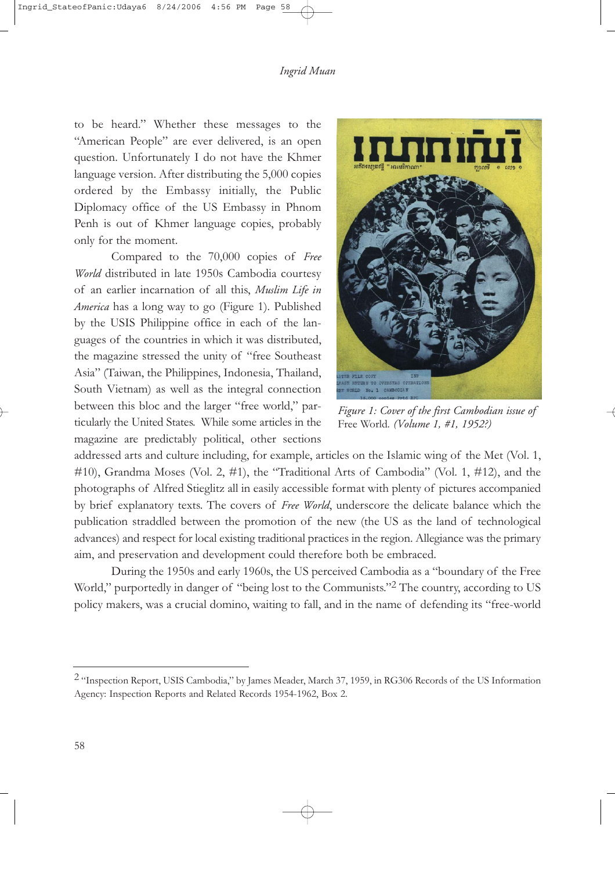to be heard." Whether these messages to the "American People" are ever delivered, is an open question. Unfortunately I do not have the Khmer language version. After distributing the 5,000 copies ordered by the Embassy initially, the Public Diplomacy office of the US Embassy in Phnom Penh is out of Khmer language copies, probably only for the moment.

Compared to the 70,000 copies of *Free World* distributed in late 1950s Cambodia courtesy of an earlier incarnation of all this, *Muslim Life in America* has a long way to go (Figure 1). Published by the USIS Philippine office in each of the languages of the countries in which it was distributed, the magazine stressed the unity of "free Southeast Asia" (Taiwan, the Philippines, Indonesia, Thailand, South Vietnam) as well as the integral connection between this bloc and the larger "free world," particularly the United States. While some articles in the magazine are predictably political, other sections



*Figure 1: Cover of the first Cambodian issue of* Free World*. (Volume 1, #1, 1952?)*

addressed arts and culture including, for example, articles on the Islamic wing of the Met (Vol. 1,  $\#10$ ), Grandma Moses (Vol. 2,  $\#1$ ), the "Traditional Arts of Cambodia" (Vol. 1,  $\#12$ ), and the photographs of Alfred Stieglitz all in easily accessible format with plenty of pictures accompanied by brief explanatory texts. The covers of *Free World*, underscore the delicate balance which the publication straddled between the promotion of the new (the US as the land of technological advances) and respect for local existing traditional practices in the region. Allegiance was the primary aim, and preservation and development could therefore both be embraced.

During the 1950s and early 1960s, the US perceived Cambodia as a "boundary of the Free World," purportedly in danger of "being lost to the Communists."<sup>2</sup> The country, according to US policy makers, was a crucial domino, waiting to fall, and in the name of defending its "free-world

<sup>&</sup>lt;sup>2</sup> "Inspection Report, USIS Cambodia," by James Meader, March 37, 1959, in RG306 Records of the US Information Agency: Inspection Reports and Related Records 1954-1962, Box 2.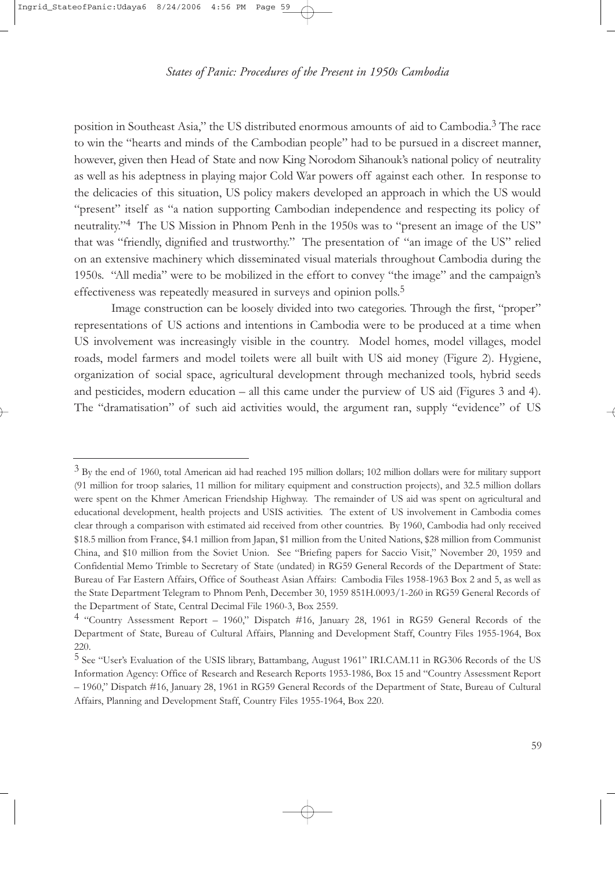position in Southeast Asia," the US distributed enormous amounts of aid to Cambodia.<sup>3</sup> The race to win the "hearts and minds of the Cambodian people" had to be pursued in a discreet manner, however, given then Head of State and now King Norodom Sihanouk's national policy of neutrality as well as his adeptness in playing major Cold War powers off against each other. In response to the delicacies of this situation, US policy makers developed an approach in which the US would "present" itself as "a nation supporting Cambodian independence and respecting its policy of neutrality."4 The US Mission in Phnom Penh in the 1950s was to "present an image of the US" that was "friendly, dignified and trustworthy." The presentation of "an image of the US" relied on an extensive machinery which disseminated visual materials throughout Cambodia during the 1950s. "All media" were to be mobilized in the effort to convey "the image" and the campaign's effectiveness was repeatedly measured in surveys and opinion polls.<sup>5</sup>

Image construction can be loosely divided into two categories. Through the first, "proper" representations of US actions and intentions in Cambodia were to be produced at a time when US involvement was increasingly visible in the country. Model homes, model villages, model roads, model farmers and model toilets were all built with US aid money (Figure 2). Hygiene, organization of social space, agricultural development through mechanized tools, hybrid seeds and pesticides, modern education – all this came under the purview of US aid (Figures 3 and 4). The "dramatisation" of such aid activities would, the argument ran, supply "evidence" of US

 $3$  By the end of 1960, total American aid had reached 195 million dollars; 102 million dollars were for military support (91 million for troop salaries, 11 million for military equipment and construction projects), and 32.5 million dollars were spent on the Khmer American Friendship Highway. The remainder of US aid was spent on agricultural and educational development, health projects and USIS activities. The extent of US involvement in Cambodia comes clear through a comparison with estimated aid received from other countries. By 1960, Cambodia had only received \$18.5 million from France, \$4.1 million from Japan, \$1 million from the United Nations, \$28 million from Communist China, and \$10 million from the Soviet Union. See "Briefing papers for Saccio Visit," November 20, 1959 and Confidential Memo Trimble to Secretary of State (undated) in RG59 General Records of the Department of State: Bureau of Far Eastern Affairs, Office of Southeast Asian Affairs: Cambodia Files 1958-1963 Box 2 and 5, as well as the State Department Telegram to Phnom Penh, December 30, 1959 851H.0093/1-260 in RG59 General Records of the Department of State, Central Decimal File 1960-3, Box 2559.

<sup>4</sup> "Country Assessment Report – 1960," Dispatch #16, January 28, 1961 in RG59 General Records of the Department of State, Bureau of Cultural Affairs, Planning and Development Staff, Country Files 1955-1964, Box 220.

<sup>5</sup> See "User's Evaluation of the USIS library, Battambang, August 1961" IRI.CAM.11 in RG306 Records of the US Information Agency: Office of Research and Research Reports 1953-1986, Box 15 and "Country Assessment Report – 1960," Dispatch #16, January 28, 1961 in RG59 General Records of the Department of State, Bureau of Cultural Affairs, Planning and Development Staff, Country Files 1955-1964, Box 220.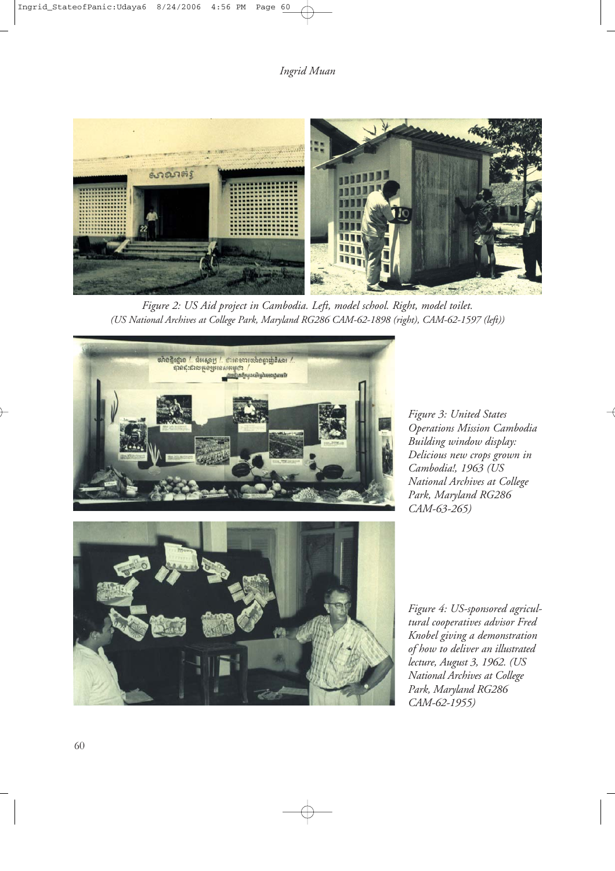

*Figure 2: US Aid project in Cambodia. Left, model school. Right, model toilet. (US National Archives at College Park, Maryland RG286 CAM-62-1898 (right), CAM-62-1597 (left))*



*Figure 3: United States Operations Mission Cambodia Building window display: Delicious new crops grown in Cambodia!, 1963 (US National Archives at College Park, Maryland RG286 CAM-63-265)*



*Figure 4: US-sponsored agricultural cooperatives advisor Fred Knobel giving a demonstration of how to deliver an illustrated lecture, August 3, 1962. (US National Archives at College Park, Maryland RG286 CAM-62-1955)*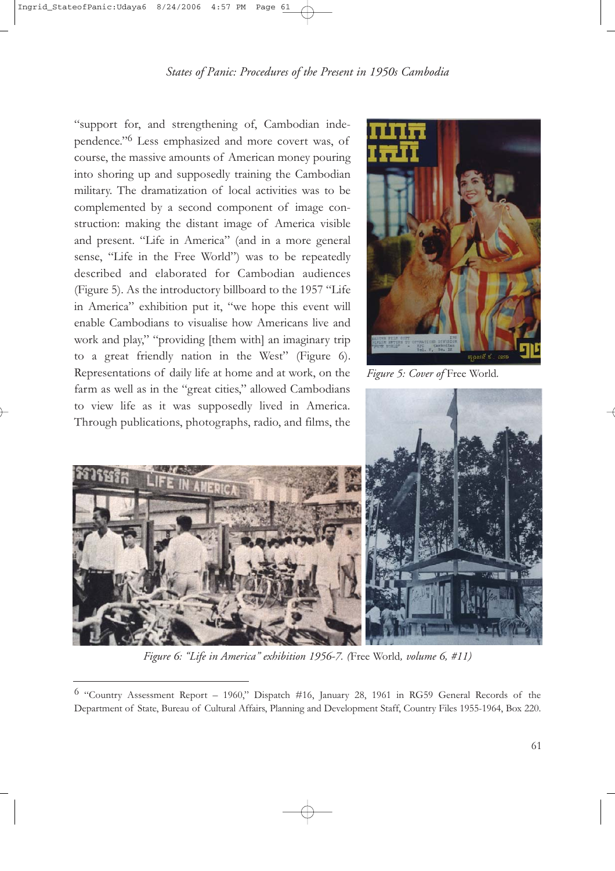"support for, and strengthening of, Cambodian independence."6 Less emphasized and more covert was, of course, the massive amounts of American money pouring into shoring up and supposedly training the Cambodian military. The dramatization of local activities was to be complemented by a second component of image construction: making the distant image of America visible and present. "Life in America" (and in a more general sense, "Life in the Free World") was to be repeatedly described and elaborated for Cambodian audiences (Figure 5). As the introductory billboard to the 1957 "Life in America" exhibition put it, "we hope this event will enable Cambodians to visualise how Americans live and work and play," "providing [them with] an imaginary trip to a great friendly nation in the West" (Figure 6). Representations of daily life at home and at work, on the farm as well as in the "great cities," allowed Cambodians to view life as it was supposedly lived in America. Through publications, photographs, radio, and films, the



*Figure 5: Cover of* Free World*.*





*Figure 6: "Life in America" exhibition 1956-7. (*Free World*, volume 6, #11)*

<sup>6</sup> "Country Assessment Report – 1960," Dispatch #16, January 28, 1961 in RG59 General Records of the Department of State, Bureau of Cultural Affairs, Planning and Development Staff, Country Files 1955-1964, Box 220.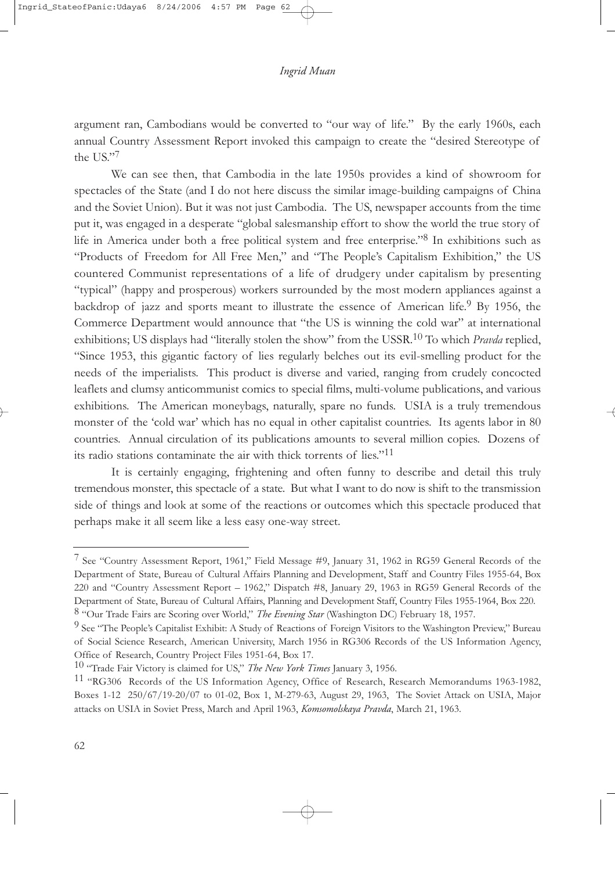argument ran, Cambodians would be converted to "our way of life." By the early 1960s, each annual Country Assessment Report invoked this campaign to create the "desired Stereotype of the US."7

We can see then, that Cambodia in the late 1950s provides a kind of showroom for spectacles of the State (and I do not here discuss the similar image-building campaigns of China and the Soviet Union). But it was not just Cambodia. The US, newspaper accounts from the time put it, was engaged in a desperate "global salesmanship effort to show the world the true story of life in America under both a free political system and free enterprise."8 In exhibitions such as "Products of Freedom for All Free Men," and "The People's Capitalism Exhibition," the US countered Communist representations of a life of drudgery under capitalism by presenting "typical" (happy and prosperous) workers surrounded by the most modern appliances against a backdrop of jazz and sports meant to illustrate the essence of American life.<sup>9</sup> By 1956, the Commerce Department would announce that "the US is winning the cold war" at international exhibitions; US displays had "literally stolen the show" from the USSR.10 To which *Pravda* replied, "Since 1953, this gigantic factory of lies regularly belches out its evil-smelling product for the needs of the imperialists. This product is diverse and varied, ranging from crudely concocted leaflets and clumsy anticommunist comics to special films, multi-volume publications, and various exhibitions. The American moneybags, naturally, spare no funds. USIA is a truly tremendous monster of the 'cold war' which has no equal in other capitalist countries. Its agents labor in 80 countries. Annual circulation of its publications amounts to several million copies. Dozens of its radio stations contaminate the air with thick torrents of lies."11

It is certainly engaging, frightening and often funny to describe and detail this truly tremendous monster, this spectacle of a state. But what I want to do now is shift to the transmission side of things and look at some of the reactions or outcomes which this spectacle produced that perhaps make it all seem like a less easy one-way street.

<sup>7</sup> See "Country Assessment Report, 1961," Field Message #9, January 31, 1962 in RG59 General Records of the Department of State, Bureau of Cultural Affairs Planning and Development, Staff and Country Files 1955-64, Box 220 and "Country Assessment Report – 1962," Dispatch #8, January 29, 1963 in RG59 General Records of the Department of State, Bureau of Cultural Affairs, Planning and Development Staff, Country Files 1955-1964, Box 220. 8 "Our Trade Fairs are Scoring over World," *The Evening Star* (Washington DC) February 18, 1957.

<sup>&</sup>lt;sup>9</sup> See "The People's Capitalist Exhibit: A Study of Reactions of Foreign Visitors to the Washington Preview," Bureau of Social Science Research, American University, March 1956 in RG306 Records of the US Information Agency, Office of Research, Country Project Files 1951-64, Box 17.

<sup>10</sup> "Trade Fair Victory is claimed for US," *The New York Times* January 3, 1956.

<sup>11</sup> "RG306 Records of the US Information Agency, Office of Research, Research Memorandums 1963-1982, Boxes 1-12 250/67/19-20/07 to 01-02, Box 1, M-279-63, August 29, 1963, The Soviet Attack on USIA, Major attacks on USIA in Soviet Press, March and April 1963, *Komsomolskaya Pravda*, March 21, 1963.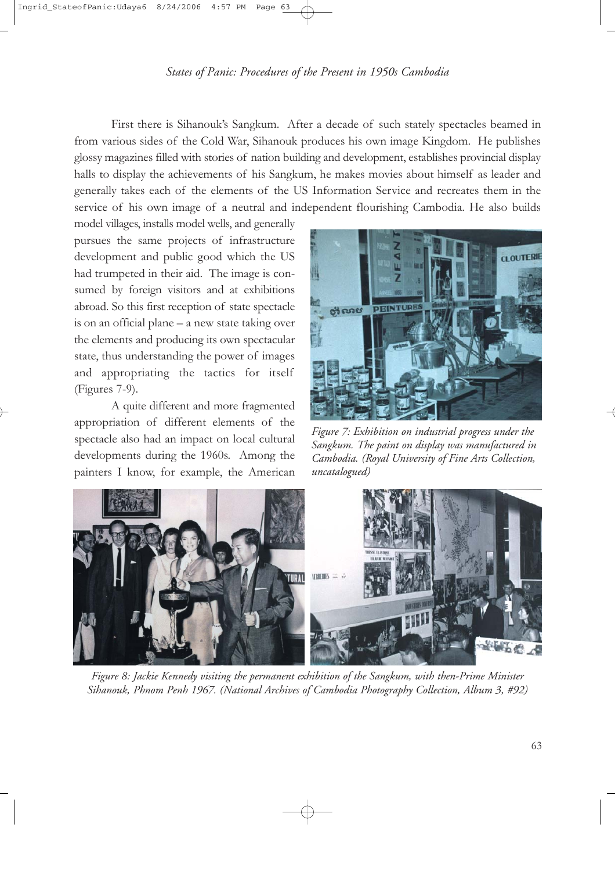First there is Sihanouk's Sangkum. After a decade of such stately spectacles beamed in from various sides of the Cold War, Sihanouk produces his own image Kingdom. He publishes glossy magazines filled with stories of nation building and development, establishes provincial display halls to display the achievements of his Sangkum, he makes movies about himself as leader and generally takes each of the elements of the US Information Service and recreates them in the service of his own image of a neutral and independent flourishing Cambodia. He also builds

model villages, installs model wells, and generally pursues the same projects of infrastructure development and public good which the US had trumpeted in their aid. The image is consumed by foreign visitors and at exhibitions abroad. So this first reception of state spectacle is on an official plane – a new state taking over the elements and producing its own spectacular state, thus understanding the power of images and appropriating the tactics for itself (Figures 7-9).

A quite different and more fragmented appropriation of different elements of the spectacle also had an impact on local cultural developments during the 1960s. Among the painters I know, for example, the American



*Figure 7: Exhibition on industrial progress under the Sangkum. The paint on display was manufactured in Cambodia. (Royal University of Fine Arts Collection, uncatalogued)*



*Figure 8: Jackie Kennedy visiting the permanent exhibition of the Sangkum, with then-Prime Minister Sihanouk, Phnom Penh 1967. (National Archives of Cambodia Photography Collection, Album 3, #92)*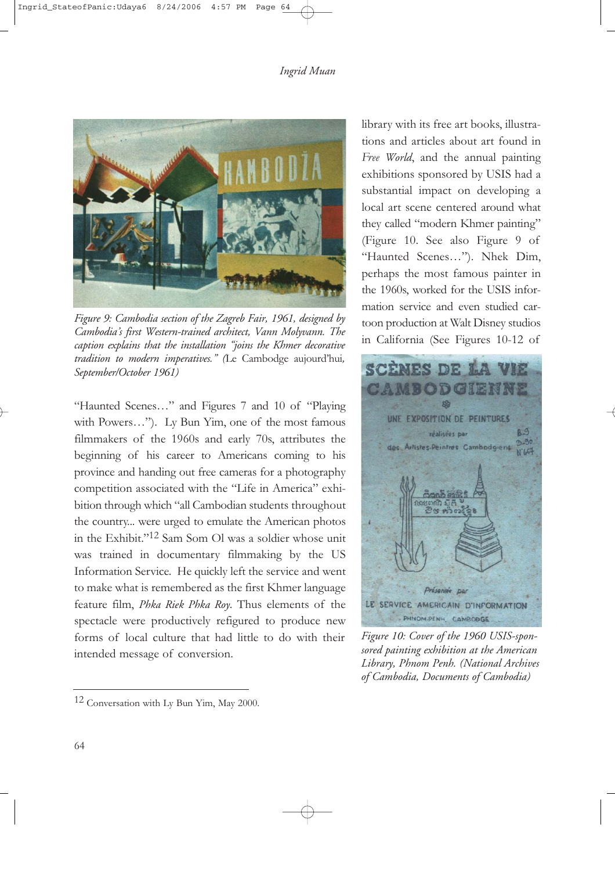

*Figure 9: Cambodia section of the Zagreb Fair, 1961, designed by Cambodia's first Western-trained architect, Vann Molyvann. The caption explains that the installation "joins the Khmer decorative tradition to modern imperatives." (*Le Cambodge aujourd'hui*, September/October 1961)*

"Haunted Scenes…" and Figures 7 and 10 of "Playing with Powers…"). Ly Bun Yim, one of the most famous filmmakers of the 1960s and early 70s, attributes the beginning of his career to Americans coming to his province and handing out free cameras for a photography competition associated with the "Life in America" exhibition through which "all Cambodian students throughout the country... were urged to emulate the American photos in the Exhibit."12 Sam Som Ol was a soldier whose unit was trained in documentary filmmaking by the US Information Service. He quickly left the service and went to make what is remembered as the first Khmer language feature film, *Phka Riek Phka Roy*. Thus elements of the spectacle were productively refigured to produce new forms of local culture that had little to do with their intended message of conversion.

library with its free art books, illustrations and articles about art found in *Free World*, and the annual painting exhibitions sponsored by USIS had a substantial impact on developing a local art scene centered around what they called "modern Khmer painting" (Figure 10. See also Figure 9 of "Haunted Scenes…"). Nhek Dim, perhaps the most famous painter in the 1960s, worked for the USIS information service and even studied cartoon production at Walt Disney studios in California (See Figures 10-12 of



*Figure 10: Cover of the 1960 USIS-sponsored painting exhibition at the American Library, Phnom Penh. (National Archives of Cambodia, Documents of Cambodia)* 

<sup>12</sup> Conversation with Ly Bun Yim, May 2000.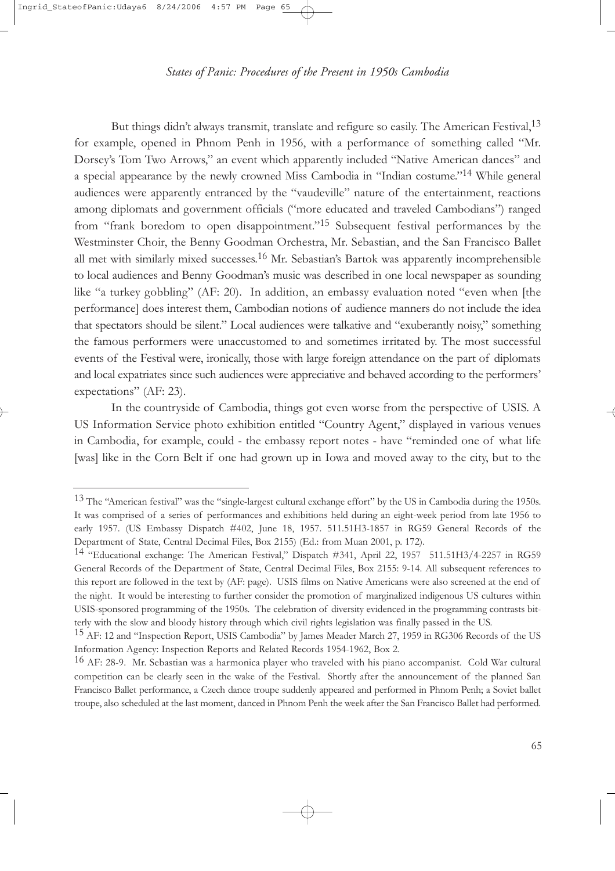But things didn't always transmit, translate and refigure so easily. The American Festival,  $1<sup>3</sup>$ for example, opened in Phnom Penh in 1956, with a performance of something called "Mr. Dorsey's Tom Two Arrows," an event which apparently included "Native American dances" and a special appearance by the newly crowned Miss Cambodia in "Indian costume."14 While general audiences were apparently entranced by the "vaudeville" nature of the entertainment, reactions among diplomats and government officials ("more educated and traveled Cambodians") ranged from "frank boredom to open disappointment."15 Subsequent festival performances by the Westminster Choir, the Benny Goodman Orchestra, Mr. Sebastian, and the San Francisco Ballet all met with similarly mixed successes.<sup>16</sup> Mr. Sebastian's Bartok was apparently incomprehensible to local audiences and Benny Goodman's music was described in one local newspaper as sounding like "a turkey gobbling" (AF: 20). In addition, an embassy evaluation noted "even when [the performance] does interest them, Cambodian notions of audience manners do not include the idea that spectators should be silent." Local audiences were talkative and "exuberantly noisy," something the famous performers were unaccustomed to and sometimes irritated by. The most successful events of the Festival were, ironically, those with large foreign attendance on the part of diplomats and local expatriates since such audiences were appreciative and behaved according to the performers' expectations" (AF: 23).

In the countryside of Cambodia, things got even worse from the perspective of USIS. A US Information Service photo exhibition entitled "Country Agent," displayed in various venues in Cambodia, for example, could - the embassy report notes - have "reminded one of what life [was] like in the Corn Belt if one had grown up in Iowa and moved away to the city, but to the

 $13$  The "American festival" was the "single-largest cultural exchange effort" by the US in Cambodia during the 1950s. It was comprised of a series of performances and exhibitions held during an eight-week period from late 1956 to early 1957. (US Embassy Dispatch #402, June 18, 1957. 511.51H3-1857 in RG59 General Records of the Department of State, Central Decimal Files, Box 2155) (Ed.: from Muan 2001, p. 172).

<sup>14</sup> "Educational exchange: The American Festival," Dispatch #341, April 22, 1957 511.51H3/4-2257 in RG59 General Records of the Department of State, Central Decimal Files, Box 2155: 9-14. All subsequent references to this report are followed in the text by (AF: page). USIS films on Native Americans were also screened at the end of the night. It would be interesting to further consider the promotion of marginalized indigenous US cultures within USIS-sponsored programming of the 1950s. The celebration of diversity evidenced in the programming contrasts bitterly with the slow and bloody history through which civil rights legislation was finally passed in the US.

<sup>&</sup>lt;sup>15</sup> AF: 12 and "Inspection Report, USIS Cambodia" by James Meader March 27, 1959 in RG306 Records of the US Information Agency: Inspection Reports and Related Records 1954-1962, Box 2.

<sup>&</sup>lt;sup>16</sup> AF: 28-9. Mr. Sebastian was a harmonica player who traveled with his piano accompanist. Cold War cultural competition can be clearly seen in the wake of the Festival. Shortly after the announcement of the planned San Francisco Ballet performance, a Czech dance troupe suddenly appeared and performed in Phnom Penh; a Soviet ballet troupe, also scheduled at the last moment, danced in Phnom Penh the week after the San Francisco Ballet had performed.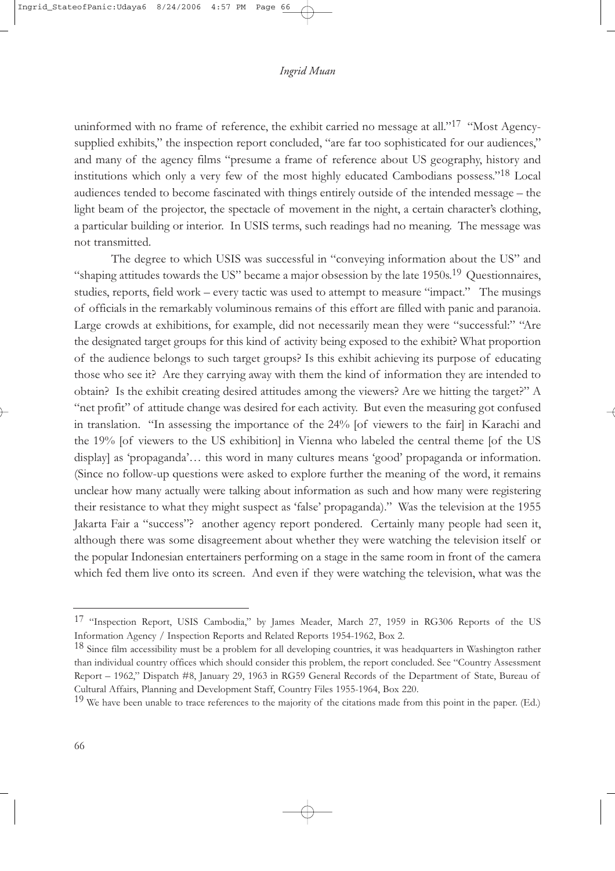uninformed with no frame of reference, the exhibit carried no message at all."<sup>17</sup> "Most Agencysupplied exhibits," the inspection report concluded, "are far too sophisticated for our audiences," and many of the agency films "presume a frame of reference about US geography, history and institutions which only a very few of the most highly educated Cambodians possess."18 Local audiences tended to become fascinated with things entirely outside of the intended message – the light beam of the projector, the spectacle of movement in the night, a certain character's clothing, a particular building or interior. In USIS terms, such readings had no meaning. The message was not transmitted.

The degree to which USIS was successful in "conveying information about the US" and "shaping attitudes towards the US" became a major obsession by the late  $1950s$ <sup>19</sup> Questionnaires, studies, reports, field work – every tactic was used to attempt to measure "impact." The musings of officials in the remarkably voluminous remains of this effort are filled with panic and paranoia. Large crowds at exhibitions, for example, did not necessarily mean they were "successful:" "Are the designated target groups for this kind of activity being exposed to the exhibit? What proportion of the audience belongs to such target groups? Is this exhibit achieving its purpose of educating those who see it? Are they carrying away with them the kind of information they are intended to obtain? Is the exhibit creating desired attitudes among the viewers? Are we hitting the target?" A "net profit" of attitude change was desired for each activity. But even the measuring got confused in translation. "In assessing the importance of the 24% [of viewers to the fair] in Karachi and the 19% [of viewers to the US exhibition] in Vienna who labeled the central theme [of the US display] as 'propaganda'… this word in many cultures means 'good' propaganda or information. (Since no follow-up questions were asked to explore further the meaning of the word, it remains unclear how many actually were talking about information as such and how many were registering their resistance to what they might suspect as 'false' propaganda)." Was the television at the 1955 Jakarta Fair a "success"? another agency report pondered. Certainly many people had seen it, although there was some disagreement about whether they were watching the television itself or the popular Indonesian entertainers performing on a stage in the same room in front of the camera which fed them live onto its screen. And even if they were watching the television, what was the

<sup>17</sup> "Inspection Report, USIS Cambodia," by James Meader, March 27, 1959 in RG306 Reports of the US Information Agency / Inspection Reports and Related Reports 1954-1962, Box 2.

<sup>&</sup>lt;sup>18</sup> Since film accessibility must be a problem for all developing countries, it was headquarters in Washington rather than individual country offices which should consider this problem, the report concluded. See "Country Assessment Report – 1962," Dispatch #8, January 29, 1963 in RG59 General Records of the Department of State, Bureau of Cultural Affairs, Planning and Development Staff, Country Files 1955-1964, Box 220.

<sup>&</sup>lt;sup>19</sup> We have been unable to trace references to the majority of the citations made from this point in the paper. (Ed.)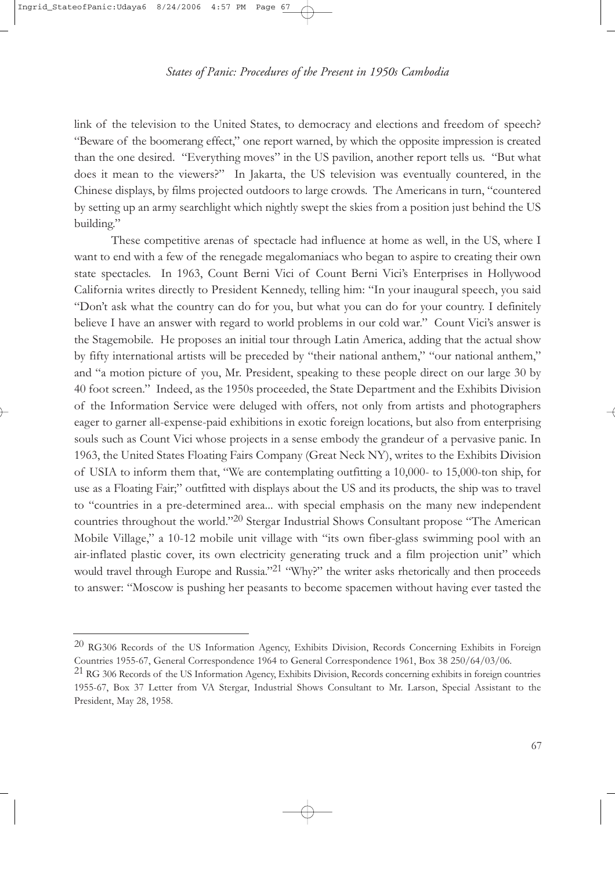link of the television to the United States, to democracy and elections and freedom of speech? "Beware of the boomerang effect," one report warned, by which the opposite impression is created than the one desired. "Everything moves" in the US pavilion, another report tells us. "But what does it mean to the viewers?" In Jakarta, the US television was eventually countered, in the Chinese displays, by films projected outdoors to large crowds. The Americans in turn, "countered by setting up an army searchlight which nightly swept the skies from a position just behind the US building."

These competitive arenas of spectacle had influence at home as well, in the US, where I want to end with a few of the renegade megalomaniacs who began to aspire to creating their own state spectacles. In 1963, Count Berni Vici of Count Berni Vici's Enterprises in Hollywood California writes directly to President Kennedy, telling him: "In your inaugural speech, you said "Don't ask what the country can do for you, but what you can do for your country. I definitely believe I have an answer with regard to world problems in our cold war." Count Vici's answer is the Stagemobile. He proposes an initial tour through Latin America, adding that the actual show by fifty international artists will be preceded by "their national anthem," "our national anthem," and "a motion picture of you, Mr. President, speaking to these people direct on our large 30 by 40 foot screen." Indeed, as the 1950s proceeded, the State Department and the Exhibits Division of the Information Service were deluged with offers, not only from artists and photographers eager to garner all-expense-paid exhibitions in exotic foreign locations, but also from enterprising souls such as Count Vici whose projects in a sense embody the grandeur of a pervasive panic. In 1963, the United States Floating Fairs Company (Great Neck NY), writes to the Exhibits Division of USIA to inform them that, "We are contemplating outfitting a 10,000- to 15,000-ton ship, for use as a Floating Fair;" outfitted with displays about the US and its products, the ship was to travel to "countries in a pre-determined area... with special emphasis on the many new independent countries throughout the world."20 Stergar Industrial Shows Consultant propose "The American Mobile Village," a 10-12 mobile unit village with "its own fiber-glass swimming pool with an air-inflated plastic cover, its own electricity generating truck and a film projection unit" which would travel through Europe and Russia."<sup>21</sup> "Why?" the writer asks rhetorically and then proceeds to answer: "Moscow is pushing her peasants to become spacemen without having ever tasted the

<sup>20</sup> RG306 Records of the US Information Agency, Exhibits Division, Records Concerning Exhibits in Foreign Countries 1955-67, General Correspondence 1964 to General Correspondence 1961, Box 38 250/64/03/06.

 $^{21}$  RG 306 Records of the US Information Agency, Exhibits Division, Records concerning exhibits in foreign countries 1955-67, Box 37 Letter from VA Stergar, Industrial Shows Consultant to Mr. Larson, Special Assistant to the President, May 28, 1958.